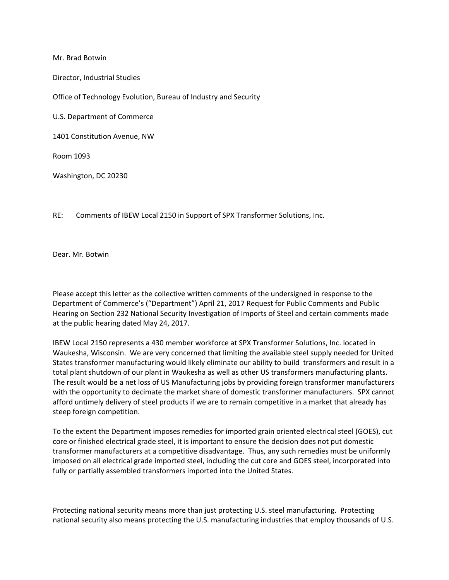Mr. Brad Botwin

Director, Industrial Studies

Office of Technology Evolution, Bureau of Industry and Security

U.S. Department of Commerce

1401 Constitution Avenue, NW

Room 1093

Washington, DC 20230

RE: Comments of IBEW Local 2150 in Support of SPX Transformer Solutions, Inc.

Dear. Mr. Botwin

Please accept this letter as the collective written comments of the undersigned in response to the Department of Commerce's ("Department") April 21, 2017 Request for Public Comments and Public Hearing on Section 232 National Security Investigation of Imports of Steel and certain comments made at the public hearing dated May 24, 2017.

IBEW Local 2150 represents a 430 member workforce at SPX Transformer Solutions, Inc. located in Waukesha, Wisconsin. We are very concerned that limiting the available steel supply needed for United States transformer manufacturing would likely eliminate our ability to build transformers and result in a total plant shutdown of our plant in Waukesha as well as other US transformers manufacturing plants. The result would be a net loss of US Manufacturing jobs by providing foreign transformer manufacturers with the opportunity to decimate the market share of domestic transformer manufacturers. SPX cannot afford untimely delivery of steel products if we are to remain competitive in a market that already has steep foreign competition.

To the extent the Department imposes remedies for imported grain oriented electrical steel (GOES), cut core or finished electrical grade steel, it is important to ensure the decision does not put domestic transformer manufacturers at a competitive disadvantage. Thus, any such remedies must be uniformly imposed on all electrical grade imported steel, including the cut core and GOES steel, incorporated into fully or partially assembled transformers imported into the United States.

Protecting national security means more than just protecting U.S. steel manufacturing. Protecting national security also means protecting the U.S. manufacturing industries that employ thousands of U.S.